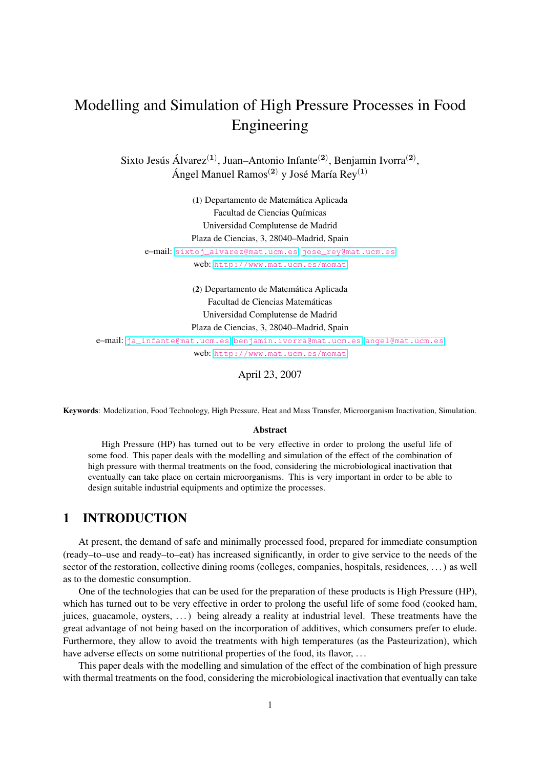# Modelling and Simulation of High Pressure Processes in Food Engineering

Sixto Jesús Álvarez<sup>(1)</sup>, Juan–Antonio Infante<sup>(2)</sup>, Benjamin Ivorra<sup>(2)</sup>, Ángel Manuel Ramos<sup>(2)</sup> y José María Rey<sup>(1)</sup>

> (1) Departamento de Matemática Aplicada Facultad de Ciencias Químicas Universidad Complutense de Madrid Plaza de Ciencias, 3, 28040–Madrid, Spain

e–mail: [sixtoj\\_alvarez@mat.ucm.es](sixtoj_alvarez@mat.ucm.es), [jose\\_rey@mat.ucm.es](jose_rey@mat.ucm.es) web: <http://www.mat.ucm.es/momat>

(2) Departamento de Matemática Aplicada Facultad de Ciencias Matemáticas Universidad Complutense de Madrid Plaza de Ciencias, 3, 28040–Madrid, Spain

e–mail: [ja\\_infante@mat.ucm.es](ja_infante@mat.ucm.es), <benjamin.ivorra@mat.ucm.es>, <angel@mat.ucm.es> web: <http://www.mat.ucm.es/momat>

April 23, 2007

Keywords: Modelization, Food Technology, High Pressure, Heat and Mass Transfer, Microorganism Inactivation, Simulation.

#### Abstract

High Pressure (HP) has turned out to be very effective in order to prolong the useful life of some food. This paper deals with the modelling and simulation of the effect of the combination of high pressure with thermal treatments on the food, considering the microbiological inactivation that eventually can take place on certain microorganisms. This is very important in order to be able to design suitable industrial equipments and optimize the processes.

# 1 INTRODUCTION

At present, the demand of safe and minimally processed food, prepared for immediate consumption (ready–to–use and ready–to–eat) has increased significantly, in order to give service to the needs of the sector of the restoration, collective dining rooms (colleges, companies, hospitals, residences, ...) as well as to the domestic consumption.

One of the technologies that can be used for the preparation of these products is High Pressure (HP), which has turned out to be very effective in order to prolong the useful life of some food (cooked ham, juices, guacamole, oysters, . . . ) being already a reality at industrial level. These treatments have the great advantage of not being based on the incorporation of additives, which consumers prefer to elude. Furthermore, they allow to avoid the treatments with high temperatures (as the Pasteurization), which have adverse effects on some nutritional properties of the food, its flavor, ...

This paper deals with the modelling and simulation of the effect of the combination of high pressure with thermal treatments on the food, considering the microbiological inactivation that eventually can take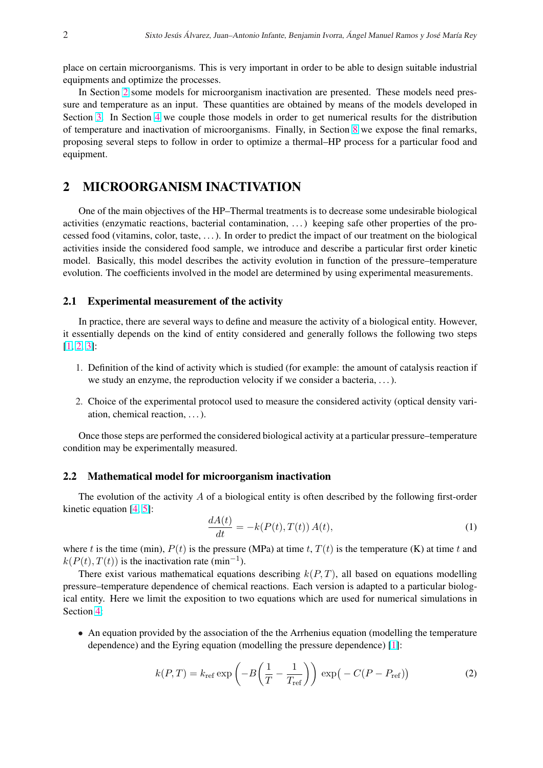<span id="page-1-0"></span>place on certain microorganisms. This is very important in order to be able to design suitable industrial equipments and optimize the processes.

In Section 2 some models for microorganism inactivation are presented. These models need pressure and temperature as an input. These quantities are obtained by means of the models developed in Section [3.](#page-2-0) In Section [4](#page-8-0) we couple those models in order to get numerical results for the distribution of temperature and inactivation of microorganisms. Finally, in Section [8](#page-9-0) we expose the final remarks, proposing several steps to follow in order to optimize a thermal–HP process for a particular food and equipment.

# 2 MICROORGANISM INACTIVATION

One of the main objectives of the HP–Thermal treatments is to decrease some undesirable biological activities (enzymatic reactions, bacterial contamination, . . . ) keeping safe other properties of the processed food (vitamins, color, taste, . . . ). In order to predict the impact of our treatment on the biological activities inside the considered food sample, we introduce and describe a particular first order kinetic model. Basically, this model describes the activity evolution in function of the pressure–temperature evolution. The coefficients involved in the model are determined by using experimental measurements.

#### 2.1 Experimental measurement of the activity

In practice, there are several ways to define and measure the activity of a biological entity. However, it essentially depends on the kind of entity considered and generally follows the following two steps [\[1,](#page-10-0) [2,](#page-10-0) [3\]](#page-10-0):

- 1. Definition of the kind of activity which is studied (for example: the amount of catalysis reaction if we study an enzyme, the reproduction velocity if we consider a bacteria, . . . ).
- 2. Choice of the experimental protocol used to measure the considered activity (optical density variation, chemical reaction, . . . ).

Once those steps are performed the considered biological activity at a particular pressure–temperature condition may be experimentally measured.

### 2.2 Mathematical model for microorganism inactivation

The evolution of the activity  $\vec{A}$  of a biological entity is often described by the following first-order kinetic equation  $[4, 5]$  $[4, 5]$  $[4, 5]$ :

$$
\frac{dA(t)}{dt} = -k(P(t), T(t)) A(t),\tag{1}
$$

where t is the time (min),  $P(t)$  is the pressure (MPa) at time t,  $T(t)$  is the temperature (K) at time t and  $k(P(t), T(t))$  is the inactivation rate (min<sup>-1</sup>).

There exist various mathematical equations describing  $k(P,T)$ , all based on equations modelling pressure–temperature dependence of chemical reactions. Each version is adapted to a particular biological entity. Here we limit the exposition to two equations which are used for numerical simulations in Section [4:](#page-8-0)

• An equation provided by the association of the the Arrhenius equation (modelling the temperature dependence) and the Eyring equation (modelling the pressure dependence) [\[1\]](#page-10-0):

$$
k(P,T) = k_{\text{ref}} \exp\left(-B\left(\frac{1}{T} - \frac{1}{T_{\text{ref}}}\right)\right) \exp\left(-C(P - P_{\text{ref}})\right)
$$
 (2)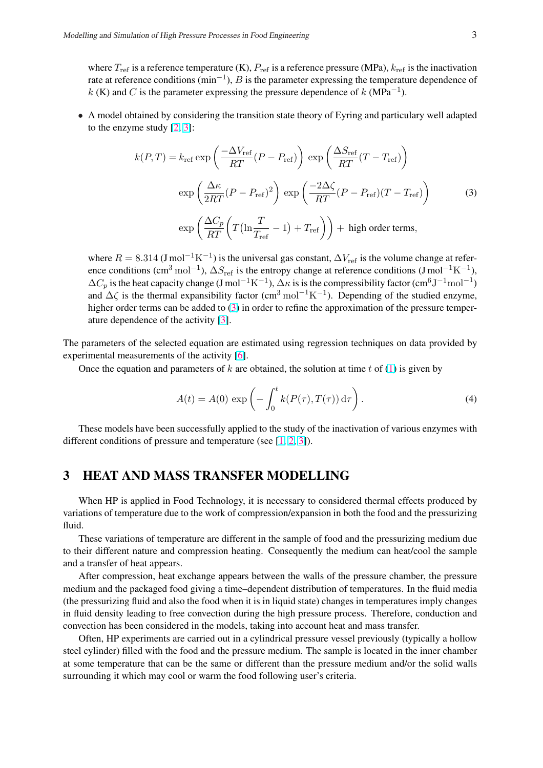<span id="page-2-0"></span>where  $T_{\text{ref}}$  is a reference temperature (K),  $P_{\text{ref}}$  is a reference pressure (MPa),  $k_{\text{ref}}$  is the inactivation rate at reference conditions (min<sup>-1</sup>), B is the parameter expressing the temperature dependence of k (K) and C is the parameter expressing the pressure dependence of k (MPa<sup>-1</sup>).

• A model obtained by considering the transition state theory of Eyring and particulary well adapted to the enzyme study [\[2,](#page-10-0) [3\]](#page-10-0):

$$
k(P,T) = k_{\text{ref}} \exp\left(\frac{-\Delta V_{\text{ref}}}{RT}(P - P_{\text{ref}})\right) \exp\left(\frac{\Delta S_{\text{ref}}}{RT}(T - T_{\text{ref}})\right)
$$

$$
\exp\left(\frac{\Delta \kappa}{2RT}(P - P_{\text{ref}})^2\right) \exp\left(\frac{-2\Delta \zeta}{RT}(P - P_{\text{ref}})(T - T_{\text{ref}})\right) \tag{3}
$$

$$
\exp\left(\frac{\Delta C_p}{RT}\left(T\left(\ln \frac{T}{T_{\text{ref}}}-1\right) + T_{\text{ref}}\right)\right) + \text{high order terms},
$$

where  $R = 8.314$  (J mol<sup>-1</sup>K<sup>-1</sup>) is the universal gas constant,  $\Delta V_{\text{ref}}$  is the volume change at reference conditions (cm<sup>3</sup> mol<sup>-1</sup>),  $\Delta S_{\text{ref}}$  is the entropy change at reference conditions (J mol<sup>-1</sup>K<sup>-1</sup>),  $\Delta C_p$  is the heat capacity change (J mol<sup>-1</sup>K<sup>-1</sup>),  $\Delta \kappa$  is is the compressibility factor (cm<sup>6</sup>J<sup>-1</sup>mol<sup>-1</sup>) and  $\Delta\zeta$  is the thermal expansibility factor (cm<sup>3</sup> mol<sup>-1</sup>K<sup>-1</sup>). Depending of the studied enzyme, higher order terms can be added to (3) in order to refine the approximation of the pressure temperature dependence of the activity [\[3\]](#page-10-0).

The parameters of the selected equation are estimated using regression techniques on data provided by experimental measurements of the activity [\[6\]](#page-11-0).

Once the equation and parameters of k are obtained, the solution at time t of [\(1\)](#page-1-0) is given by

$$
A(t) = A(0) \exp\left(-\int_0^t k(P(\tau), T(\tau)) d\tau\right).
$$
 (4)

These models have been successfully applied to the study of the inactivation of various enzymes with different conditions of pressure and temperature (see [\[1,](#page-10-0) [2,](#page-10-0) [3\]](#page-10-0)).

# 3 HEAT AND MASS TRANSFER MODELLING

When HP is applied in Food Technology, it is necessary to considered thermal effects produced by variations of temperature due to the work of compression/expansion in both the food and the pressurizing fluid.

These variations of temperature are different in the sample of food and the pressurizing medium due to their different nature and compression heating. Consequently the medium can heat/cool the sample and a transfer of heat appears.

After compression, heat exchange appears between the walls of the pressure chamber, the pressure medium and the packaged food giving a time–dependent distribution of temperatures. In the fluid media (the pressurizing fluid and also the food when it is in liquid state) changes in temperatures imply changes in fluid density leading to free convection during the high pressure process. Therefore, conduction and convection has been considered in the models, taking into account heat and mass transfer.

Often, HP experiments are carried out in a cylindrical pressure vessel previously (typically a hollow steel cylinder) filled with the food and the pressure medium. The sample is located in the inner chamber at some temperature that can be the same or different than the pressure medium and/or the solid walls surrounding it which may cool or warm the food following user's criteria.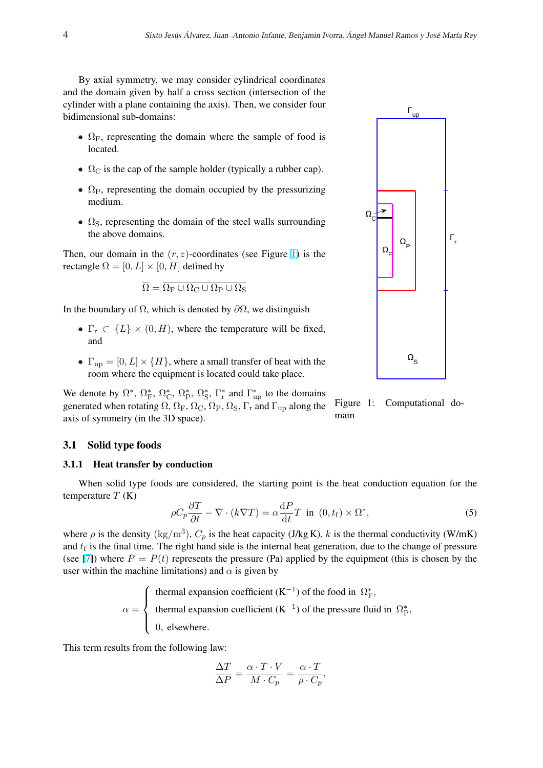<span id="page-3-0"></span>By axial symmetry, we may consider cylindrical coordinates and the domain given by half a cross section (intersection of the cylinder with a plane containing the axis). Then, we consider four bidimensional sub-domains:

- $\Omega_F$ , representing the domain where the sample of food is located.
- $\Omega_{\rm C}$  is the cap of the sample holder (typically a rubber cap).
- $\Omega_{\rm P}$ , representing the domain occupied by the pressurizing medium.
- $\Omega$ <sub>S</sub>, representing the domain of the steel walls surrounding the above domains.

Then, our domain in the  $(r, z)$ -coordinates (see Figure 1) is the rectangle  $\Omega = [0, L] \times [0, H]$  defined by

$$
\overline{\Omega} = \overline{\Omega_F \cup \Omega_C \cup \Omega_P \cup \Omega_S}
$$

In the boundary of  $\Omega$ , which is denoted by  $\partial\Omega$ , we distinguish

- $\Gamma_r \subset \{L\} \times (0, H)$ , where the temperature will be fixed, and
- $\Gamma_{\text{up}} = [0, L] \times \{H\}$ , where a small transfer of heat with the room where the equipment is located could take place.

main We denote by  $\Omega^*$ ,  $\Omega^*$ ,  $\Omega^*$ ,  $\Omega^*$ ,  $\Omega^*$ ,  $\Omega^*$  and  $\Gamma^*$  and  $\Gamma^*$  to the domains generated when rotating  $\Omega$ ,  $\Omega_F$ ,  $\Omega_C$ ,  $\Omega_P$ ,  $\Omega_S$ ,  $\Gamma_r$  and  $\Gamma_{up}$  along the axis of symmetry (in the 3D space).

### 3.1 Solid type foods

### 3.1.1 Heat transfer by conduction

When solid type foods are considered, the starting point is the heat conduction equation for the temperature  $T(K)$ 

$$
\rho C_p \frac{\partial T}{\partial t} - \nabla \cdot (k \nabla T) = \alpha \frac{\mathrm{d}P}{\mathrm{d}t} T \text{ in } (0, t_\mathrm{f}) \times \Omega^*, \tag{5}
$$

where  $\rho$  is the density (kg/m<sup>3</sup>),  $C_p$  is the heat capacity (J/kg K), k is the thermal conductivity (W/mK) and  $t_f$  is the final time. The right hand side is the internal heat generation, due to the change of pressure (see [\[7\]](#page-11-0)) where  $P = P(t)$  represents the pressure (Pa) applied by the equipment (this is chosen by the user within the machine limitations) and  $\alpha$  is given by

$$
\alpha = \begin{cases} \text{thermal expansion coefficient } (K^{-1}) \text{ of the food in } \Omega_F^*, \\ \text{thermal expansion coefficient } (K^{-1}) \text{ of the pressure fluid in } \Omega_P^*, \\ 0, \text{ elsewhere.} \end{cases}
$$

This term results from the following law:

$$
\frac{\Delta T}{\Delta P} = \frac{\alpha \cdot T \cdot V}{M \cdot C_p} = \frac{\alpha \cdot T}{\rho \cdot C_p},
$$



Figure 1: Computational do-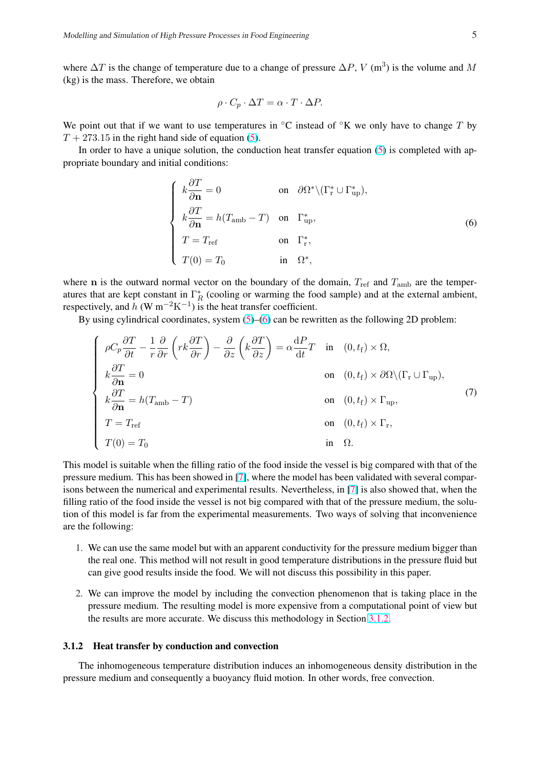<span id="page-4-0"></span>where  $\Delta T$  is the change of temperature due to a change of pressure  $\Delta P$ , V (m<sup>3</sup>) is the volume and M (kg) is the mass. Therefore, we obtain

$$
\rho \cdot C_p \cdot \Delta T = \alpha \cdot T \cdot \Delta P.
$$

We point out that if we want to use temperatures in  $\mathrm{C}$  instead of  $\mathrm{C}$ K we only have to change T by  $T + 273.15$  in the right hand side of equation [\(5\)](#page-3-0).

In order to have a unique solution, the conduction heat transfer equation  $(5)$  is completed with appropriate boundary and initial conditions:

$$
\begin{cases}\nk \frac{\partial T}{\partial \mathbf{n}} = 0 & \text{on } \partial \Omega^* \setminus (\Gamma^*_r \cup \Gamma^*_{\text{up}}), \\
k \frac{\partial T}{\partial \mathbf{n}} = h(T_{\text{amb}} - T) & \text{on } \Gamma^*_{\text{up}}, \\
T = T_{\text{ref}} & \text{on } \Gamma^*_r, \\
T(0) = T_0 & \text{in } \Omega^*,\n\end{cases}
$$
\n(6)

where n is the outward normal vector on the boundary of the domain,  $T_{ref}$  and  $T_{amb}$  are the temperatures that are kept constant in  $\Gamma_R^*$  (cooling or warming the food sample) and at the external ambient, respectively, and h (W m<sup>-2</sup>K<sup>-1</sup>) is the heat transfer coefficient.

By using cylindrical coordinates, system  $(5)$ – $(6)$  can be rewritten as the following 2D problem:

$$
\begin{cases}\n\rho C_p \frac{\partial T}{\partial t} - \frac{1}{r} \frac{\partial}{\partial r} \left( r k \frac{\partial T}{\partial r} \right) - \frac{\partial}{\partial z} \left( k \frac{\partial T}{\partial z} \right) = \alpha \frac{dP}{dt} T & \text{in} \quad (0, t_f) \times \Omega, \\
k \frac{\partial T}{\partial \mathbf{n}} = 0 & \text{on} \quad (0, t_f) \times \partial \Omega \setminus (\Gamma_r \cup \Gamma_{\text{up}}), \\
k \frac{\partial T}{\partial \mathbf{n}} = h(T_{\text{amb}} - T) & \text{on} \quad (0, t_f) \times \Gamma_{\text{up}}, \\
T = T_{\text{ref}} & \text{on} \quad (0, t_f) \times \Gamma_r, \\
T(0) = T_0 & \text{in} \quad \Omega.\n\end{cases}
$$
\n(7)

This model is suitable when the filling ratio of the food inside the vessel is big compared with that of the pressure medium. This has been showed in [\[7\]](#page-11-0), where the model has been validated with several comparisons between the numerical and experimental results. Nevertheless, in [\[7\]](#page-11-0) is also showed that, when the filling ratio of the food inside the vessel is not big compared with that of the pressure medium, the solution of this model is far from the experimental measurements. Two ways of solving that inconvenience are the following:

- 1. We can use the same model but with an apparent conductivity for the pressure medium bigger than the real one. This method will not result in good temperature distributions in the pressure fluid but can give good results inside the food. We will not discuss this possibility in this paper.
- 2. We can improve the model by including the convection phenomenon that is taking place in the pressure medium. The resulting model is more expensive from a computational point of view but the results are more accurate. We discuss this methodology in Section 3.1.2.

#### 3.1.2 Heat transfer by conduction and convection

The inhomogeneous temperature distribution induces an inhomogeneous density distribution in the pressure medium and consequently a buoyancy fluid motion. In other words, free convection.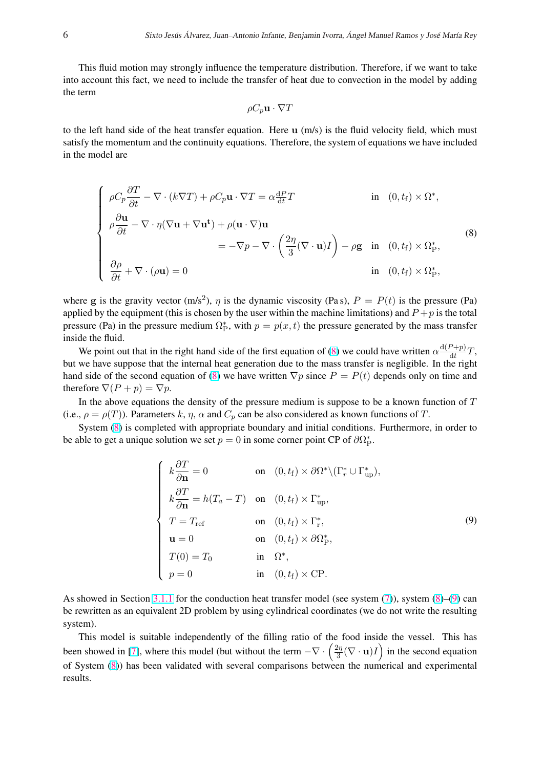This fluid motion may strongly influence the temperature distribution. Therefore, if we want to take into account this fact, we need to include the transfer of heat due to convection in the model by adding the term

$$
\rho C_p \mathbf{u} \cdot \nabla T
$$

to the left hand side of the heat transfer equation. Here  $\bf{u}$  (m/s) is the fluid velocity field, which must satisfy the momentum and the continuity equations. Therefore, the system of equations we have included in the model are

$$
\begin{cases}\n\rho C_p \frac{\partial T}{\partial t} - \nabla \cdot (k \nabla T) + \rho C_p \mathbf{u} \cdot \nabla T = \alpha \frac{\mathrm{d}P}{\mathrm{d}t} T & \text{in } (0, t_f) \times \Omega^*, \\
\rho \frac{\partial \mathbf{u}}{\partial t} - \nabla \cdot \eta (\nabla \mathbf{u} + \nabla \mathbf{u}^{\mathbf{t}}) + \rho (\mathbf{u} \cdot \nabla) \mathbf{u} \\
= -\nabla p - \nabla \cdot \left( \frac{2\eta}{3} (\nabla \cdot \mathbf{u}) I \right) - \rho \mathbf{g} & \text{in } (0, t_f) \times \Omega_P^*, \\
\frac{\partial \rho}{\partial t} + \nabla \cdot (\rho \mathbf{u}) = 0 & \text{in } (0, t_f) \times \Omega_P^*,\n\end{cases}
$$
\n(8)

where g is the gravity vector  $(m/s^2)$ ,  $\eta$  is the dynamic viscosity (Pas),  $P = P(t)$  is the pressure (Pa) applied by the equipment (this is chosen by the user within the machine limitations) and  $P + p$  is the total pressure (Pa) in the pressure medium  $\Omega_{\rm P}^*$ , with  $p = p(x, t)$  the pressure generated by the mass transfer inside the fluid.

We point out that in the right hand side of the first equation of (8) we could have written  $\alpha \frac{d(P+p)}{dt}$  $\frac{\partial^2 + p_j}{\partial t}T,$ but we have suppose that the internal heat generation due to the mass transfer is negligible. In the right hand side of the second equation of (8) we have written  $\nabla p$  since  $P = P(t)$  depends only on time and therefore  $\nabla(P + p) = \nabla p$ .

In the above equations the density of the pressure medium is suppose to be a known function of  $T$ (i.e.,  $\rho = \rho(T)$ ). Parameters k,  $\eta$ ,  $\alpha$  and  $C_p$  can be also considered as known functions of T.

System (8) is completed with appropriate boundary and initial conditions. Furthermore, in order to be able to get a unique solution we set  $p = 0$  in some corner point CP of  $\partial \Omega_P^*$ .

$$
\begin{cases}\nk\frac{\partial T}{\partial \mathbf{n}} = 0 & \text{on } (0, t_{\rm f}) \times \partial \Omega^* \backslash (\Gamma_r^* \cup \Gamma_{\rm up}^*), \\
k\frac{\partial T}{\partial \mathbf{n}} = h(T_a - T) & \text{on } (0, t_{\rm f}) \times \Gamma_{\rm up}^*, \\
T = T_{\rm ref} & \text{on } (0, t_{\rm f}) \times \Gamma_r^*, \\
\mathbf{n} = 0 & \text{on } (0, t_{\rm f}) \times \partial \Omega_P^*, \\
T(0) = T_0 & \text{in } \Omega^*, \\
p = 0 & \text{in } (0, t_{\rm f}) \times \text{CP}.\n\end{cases}
$$
\n(9)

As showed in Section [3.1.1](#page-3-0) for the conduction heat transfer model (see system [\(7\)](#page-4-0)), system (8)–(9) can be rewritten as an equivalent 2D problem by using cylindrical coordinates (we do not write the resulting system).

This model is suitable independently of the filling ratio of the food inside the vessel. This has This model is suitable independently of the filling ratio of the been showed in [\[7\]](#page-11-0), where this model (but without the term  $-\nabla \cdot \left(\frac{2\eta}{3}\right)$  $\frac{2\eta}{3}(\nabla \cdot \mathbf{u})I$  in the second equation of System (8)) has been validated with several comparisons between the numerical and experimental results.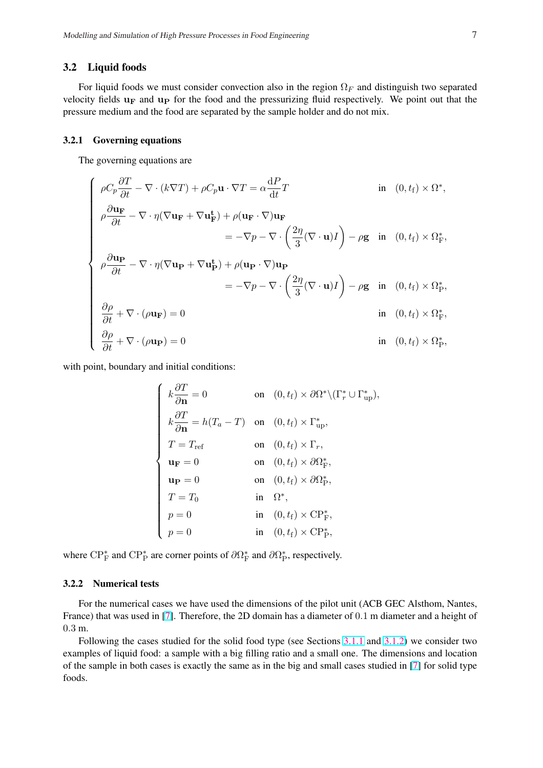### <span id="page-6-0"></span>3.2 Liquid foods

For liquid foods we must consider convection also in the region  $\Omega_F$  and distinguish two separated velocity fields  $\mathbf{u}_\mathbf{F}$  and  $\mathbf{u}_\mathbf{P}$  for the food and the pressurizing fluid respectively. We point out that the pressure medium and the food are separated by the sample holder and do not mix.

#### 3.2.1 Governing equations

The governing equations are

$$
\begin{cases}\n\rho C_p \frac{\partial T}{\partial t} - \nabla \cdot (k \nabla T) + \rho C_p \mathbf{u} \cdot \nabla T = \alpha \frac{\mathrm{d}P}{\mathrm{d}t} T & \text{in } (0, t_f) \times \Omega^*, \\
\rho \frac{\partial \mathbf{u_F}}{\partial t} - \nabla \cdot \eta (\nabla \mathbf{u_F} + \nabla \mathbf{u_F}^{\mathbf{t}}) + \rho (\mathbf{u_F} \cdot \nabla) \mathbf{u_F} \\
= -\nabla p - \nabla \cdot \left( \frac{2\eta}{3} (\nabla \cdot \mathbf{u}) I \right) - \rho \mathbf{g} & \text{in } (0, t_f) \times \Omega^*_{\text{F}}, \\
\rho \frac{\partial \mathbf{u_P}}{\partial t} - \nabla \cdot \eta (\nabla \mathbf{u_P} + \nabla \mathbf{u_P}^{\mathbf{t}}) + \rho (\mathbf{u_P} \cdot \nabla) \mathbf{u_P} \\
= -\nabla p - \nabla \cdot \left( \frac{2\eta}{3} (\nabla \cdot \mathbf{u}) I \right) - \rho \mathbf{g} & \text{in } (0, t_f) \times \Omega^*_{\text{P}}, \\
\frac{\partial \rho}{\partial t} + \nabla \cdot (\rho \mathbf{u_F}) = 0 & \text{in } (0, t_f) \times \Omega^*_{\text{F}}, \\
\frac{\partial \rho}{\partial t} + \nabla \cdot (\rho \mathbf{u_P}) = 0 & \text{in } (0, t_f) \times \Omega^*_{\text{P}},\n\end{cases}
$$

with point, boundary and initial conditions:

| $\begin{cases} k \frac{\partial T}{\partial \mathbf{n}} = 0 \end{cases}$                            | on $(0, t_{\rm f}) \times \partial \Omega^* \backslash (\Gamma_r^* \cup \Gamma_{\text{up}}^*),$ |
|-----------------------------------------------------------------------------------------------------|-------------------------------------------------------------------------------------------------|
| $k\frac{\partial T}{\partial \mathbf{n}} = h(T_a - T)$ on $(0, t_f) \times \Gamma_{\text{up}}^*$ ,  |                                                                                                 |
|                                                                                                     | on $(0, t_{\rm f}) \times \Gamma_r$ ,                                                           |
|                                                                                                     | on $(0, t_{\rm f}) \times \partial \Omega_{\rm F}^*$ ,                                          |
|                                                                                                     | on $(0, t_{\rm f}) \times \partial \Omega_{\rm p}^*$ ,                                          |
|                                                                                                     | in $\Omega^*$ ,                                                                                 |
|                                                                                                     | in $(0, t_f) \times \mathbf{CP}^*_{\mathbf{F}},$                                                |
| $T = T_{\text{ref}}$<br>$\mathbf{u_F} = 0$<br>$\mathbf{u_P} = 0$<br>$T = T_0$<br>$p = 0$<br>$p = 0$ | in $(0, t_f) \times \mathbf{CP}_{\mathbf{P}}^*$ ,                                               |
|                                                                                                     |                                                                                                 |

where  $\text{CP}_{\text{F}}^*$  and  $\text{CP}_{\text{P}}^*$  are corner points of  $\partial \Omega_{\text{F}}^*$  and  $\partial \Omega_{\text{P}}^*$ , respectively.

### 3.2.2 Numerical tests

For the numerical cases we have used the dimensions of the pilot unit (ACB GEC Alsthom, Nantes, France) that was used in [\[7\]](#page-11-0). Therefore, the 2D domain has a diameter of 0.1 m diameter and a height of 0.3 m.

Following the cases studied for the solid food type (see Sections [3.1.1](#page-3-0) and [3.1.2\)](#page-4-0) we consider two examples of liquid food: a sample with a big filling ratio and a small one. The dimensions and location of the sample in both cases is exactly the same as in the big and small cases studied in [\[7\]](#page-11-0) for solid type foods.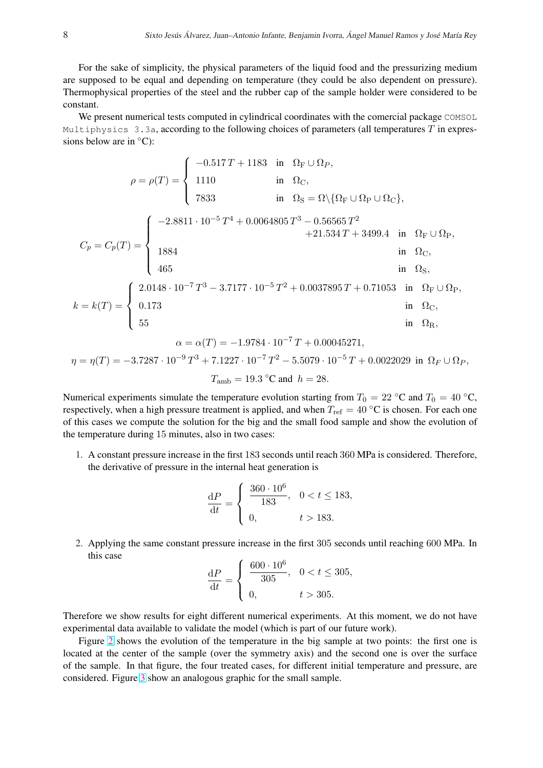For the sake of simplicity, the physical parameters of the liquid food and the pressurizing medium are supposed to be equal and depending on temperature (they could be also dependent on pressure). Thermophysical properties of the steel and the rubber cap of the sample holder were considered to be constant.

We present numerical tests computed in cylindrical coordinates with the comercial package COMSOL Multiphysics  $3.3a$ , according to the following choices of parameters (all temperatures  $T$  in expressions below are in  $°C$ ):

$$
\rho = \rho(T) = \begin{cases}\n-0.517 T + 1183 & \text{in } \Omega_{\rm F} \cup \Omega_{P}, \\
1110 & \text{in } \Omega_{\rm C}, \\
7833 & \text{in } \Omega_{\rm S} = \Omega \setminus \{\Omega_{\rm F} \cup \Omega_{\rm P} \cup \Omega_{\rm C}\},\n\end{cases}
$$
\n
$$
C_{p} = C_{p}(T) = \begin{cases}\n-2.8811 \cdot 10^{-5} T^{4} + 0.0064805 T^{3} - 0.56565 T^{2} \\
1884 & \text{in } \Omega_{\rm C}, \\
465 & \text{in } \Omega_{\rm S}, \\
465 & \text{in } \Omega_{\rm S},\n\end{cases}
$$
\n
$$
k = k(T) = \begin{cases}\n2.0148 \cdot 10^{-7} T^{3} - 3.7177 \cdot 10^{-5} T^{2} + 0.0037895 T + 0.71053 & \text{in } \Omega_{\rm F} \cup \Omega_{\rm P}, \\
0.173 & \text{in } \Omega_{\rm C}, \\
55 & \text{in } \Omega_{\rm R}, \\
\alpha = \alpha(T) = -1.9784 \cdot 10^{-7} T + 0.00045271, \\
\eta = \eta(T) = -3.7287 \cdot 10^{-9} T^{3} + 7.1227 \cdot 10^{-7} T^{2} - 5.5079 \cdot 10^{-5} T + 0.0022029 & \text{in } \Omega_{\rm F} \cup \Omega_{P},\n\end{cases}
$$

$$
T_{\rm amb} = 19.3
$$
 °C and  $h = 28$ .

Numerical experiments simulate the temperature evolution starting from  $T_0 = 22 °C$  and  $T_0 = 40 °C$ , respectively, when a high pressure treatment is applied, and when  $T_{ref} = 40 °C$  is chosen. For each one of this cases we compute the solution for the big and the small food sample and show the evolution of the temperature during 15 minutes, also in two cases:

1. A constant pressure increase in the first 183 seconds until reach 360 MPa is considered. Therefore, the derivative of pressure in the internal heat generation is

$$
\frac{\mathrm{d}P}{\mathrm{d}t} = \begin{cases} \frac{360 \cdot 10^6}{183}, & 0 < t \le 183, \\ 0, & t > 183. \end{cases}
$$

2. Applying the same constant pressure increase in the first 305 seconds until reaching 600 MPa. In this case  $\overline{a}$ 

$$
\frac{\mathrm{d}P}{\mathrm{d}t} = \begin{cases} \frac{600 \cdot 10^6}{305}, & 0 < t \le 305, \\ 0, & t > 305. \end{cases}
$$

Therefore we show results for eight different numerical experiments. At this moment, we do not have experimental data available to validate the model (which is part of our future work).

Figure [2](#page-12-0) shows the evolution of the temperature in the big sample at two points: the first one is located at the center of the sample (over the symmetry axis) and the second one is over the surface of the sample. In that figure, the four treated cases, for different initial temperature and pressure, are considered. Figure [3](#page-13-0) show an analogous graphic for the small sample.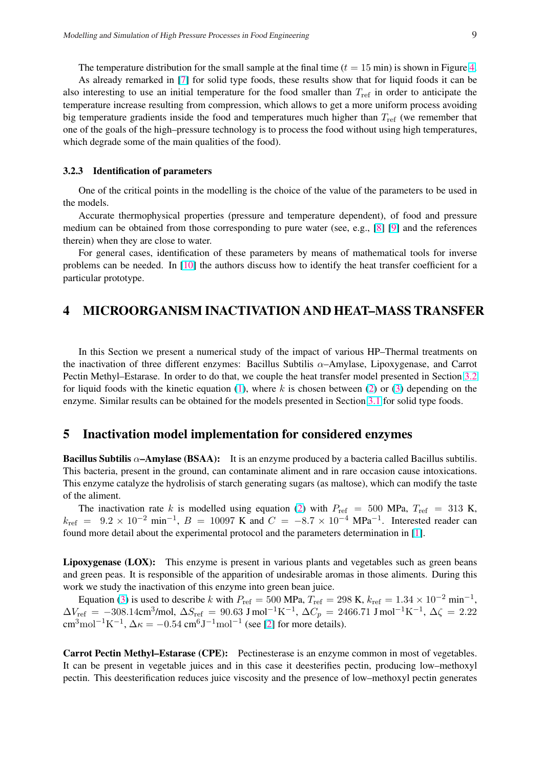<span id="page-8-0"></span>The temperature distribution for the small sample at the final time  $(t = 15 \text{ min})$  is shown in Figure [4.](#page-14-0) As already remarked in [\[7\]](#page-11-0) for solid type foods, these results show that for liquid foods it can be also interesting to use an initial temperature for the food smaller than  $T_{ref}$  in order to anticipate the temperature increase resulting from compression, which allows to get a more uniform process avoiding big temperature gradients inside the food and temperatures much higher than  $T_{ref}$  (we remember that one of the goals of the high–pressure technology is to process the food without using high temperatures, which degrade some of the main qualities of the food).

#### 3.2.3 Identification of parameters

One of the critical points in the modelling is the choice of the value of the parameters to be used in the models.

Accurate thermophysical properties (pressure and temperature dependent), of food and pressure medium can be obtained from those corresponding to pure water (see, e.g., [\[8\]](#page-11-0) [\[9\]](#page-11-0) and the references therein) when they are close to water.

For general cases, identification of these parameters by means of mathematical tools for inverse problems can be needed. In [\[10\]](#page-11-0) the authors discuss how to identify the heat transfer coefficient for a particular prototype.

# 4 MICROORGANISM INACTIVATION AND HEAT–MASS TRANSFER

In this Section we present a numerical study of the impact of various HP–Thermal treatments on the inactivation of three different enzymes: Bacillus Subtilis  $\alpha$ –Amylase, Lipoxygenase, and Carrot Pectin Methyl–Estarase. In order to do that, we couple the heat transfer model presented in Section [3.2](#page-6-0) for liquid foods with the kinetic equation [\(1\)](#page-1-0), where k is chosen between [\(2\)](#page-1-0) or [\(3\)](#page-2-0) depending on the enzyme. Similar results can be obtained for the models presented in Section [3.1](#page-3-0) for solid type foods.

### 5 Inactivation model implementation for considered enzymes

Bacillus Subtilis  $\alpha$ –Amylase (BSAA): It is an enzyme produced by a bacteria called Bacillus subtilis. This bacteria, present in the ground, can contaminate aliment and in rare occasion cause intoxications. This enzyme catalyze the hydrolisis of starch generating sugars (as maltose), which can modify the taste of the aliment.

The inactivation rate k is modelled using equation [\(2\)](#page-1-0) with  $P_{ref} = 500$  MPa,  $T_{ref} = 313$  K,  $k_{\text{ref}} = 9.2 \times 10^{-2} \text{ min}^{-1}$ ,  $B = 10097 \text{ K}$  and  $C = -8.7 \times 10^{-4} \text{ MPa}^{-1}$ . Interested reader can found more detail about the experimental protocol and the parameters determination in [\[1\]](#page-10-0).

Lipoxygenase (LOX): This enzyme is present in various plants and vegetables such as green beans and green peas. It is responsible of the apparition of undesirable aromas in those aliments. During this work we study the inactivation of this enzyme into green bean juice.

Equation [\(3\)](#page-2-0) is used to describe k with  $P_{ref} = 500$  MPa,  $T_{ref} = 298$  K,  $k_{ref} = 1.34 \times 10^{-2}$  min<sup>-1</sup>,  $\Delta V_{\rm ref}$  = −308.14cm<sup>3</sup>/mol,  $\Delta S_{\rm ref}$  = 90.63 J mol<sup>-1</sup>K<sup>-1</sup>,  $\Delta C_p$  = 2466.71 J mol<sup>-1</sup>K<sup>-1</sup>,  $\Delta \zeta$  = 2.22 cm<sup>3</sup>mol<sup>-1</sup>K<sup>-1</sup>,  $\Delta \kappa = -0.54$  cm<sup>6</sup>J<sup>-1</sup>mol<sup>-1</sup> (see [\[2\]](#page-10-0) for more details).

Carrot Pectin Methyl–Estarase (CPE): Pectinesterase is an enzyme common in most of vegetables. It can be present in vegetable juices and in this case it deesterifies pectin, producing low–methoxyl pectin. This deesterification reduces juice viscosity and the presence of low–methoxyl pectin generates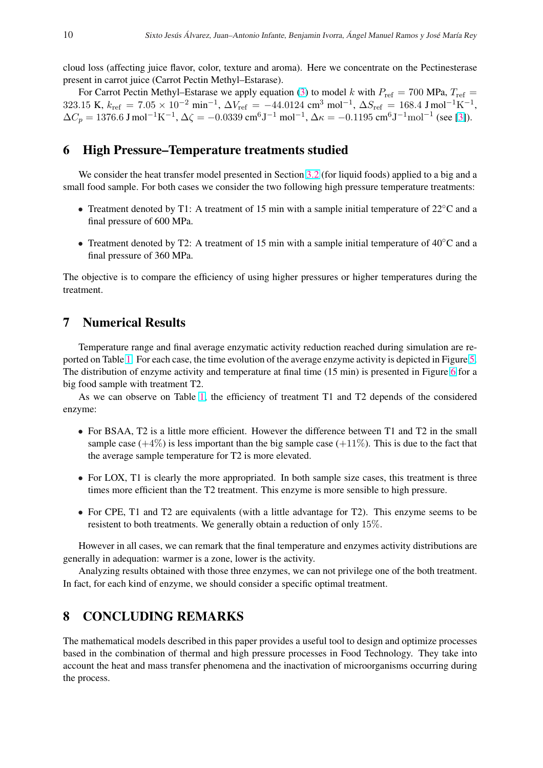<span id="page-9-0"></span>cloud loss (affecting juice flavor, color, texture and aroma). Here we concentrate on the Pectinesterase present in carrot juice (Carrot Pectin Methyl–Estarase).

For Carrot Pectin Methyl–Estarase we apply equation [\(3\)](#page-2-0) to model k with  $P_{ref} = 700$  MPa,  $T_{ref} =$ 323.15 K,  $k_{\text{ref}} = 7.05 \times 10^{-2} \text{ min}^{-1}$ ,  $\Delta V_{\text{ref}} = -44.0124 \text{ cm}^3 \text{ mol}^{-1}$ ,  $\Delta S_{\text{ref}} = 168.4 \text{ J} \text{ mol}^{-1} \text{K}^{-1}$ ,  $\Delta C_p = 1376.6 \text{ J mol}^{-1} \text{K}^{-1}$ ,  $\Delta \zeta = -0.0339 \text{ cm}^6 \text{J}^{-1} \text{ mol}^{-1}$ ,  $\Delta \kappa = -0.1195 \text{ cm}^6 \text{J}^{-1} \text{mol}^{-1}$  (see [\[3\]](#page-10-0)).

### 6 High Pressure–Temperature treatments studied

We consider the heat transfer model presented in Section [3.2](#page-6-0) (for liquid foods) applied to a big and a small food sample. For both cases we consider the two following high pressure temperature treatments:

- Treatment denoted by T1: A treatment of 15 min with a sample initial temperature of 22<sup>°</sup>C and a final pressure of 600 MPa.
- Treatment denoted by T2: A treatment of 15 min with a sample initial temperature of 40<sup>°</sup>C and a final pressure of 360 MPa.

The objective is to compare the efficiency of using higher pressures or higher temperatures during the treatment.

# 7 Numerical Results

Temperature range and final average enzymatic activity reduction reached during simulation are reported on Table [1.](#page-10-0) For each case, the time evolution of the average enzyme activity is depicted in Figure [5.](#page-15-0) The distribution of enzyme activity and temperature at final time (15 min) is presented in Figure [6](#page-16-0) for a big food sample with treatment T2.

As we can observe on Table [1,](#page-10-0) the efficiency of treatment T1 and T2 depends of the considered enzyme:

- For BSAA, T2 is a little more efficient. However the difference between T1 and T2 in the small sample case  $(+4\%)$  is less important than the big sample case  $(+11\%)$ . This is due to the fact that the average sample temperature for T2 is more elevated.
- For LOX, T1 is clearly the more appropriated. In both sample size cases, this treatment is three times more efficient than the T2 treatment. This enzyme is more sensible to high pressure.
- For CPE, T1 and T2 are equivalents (with a little advantage for T2). This enzyme seems to be resistent to both treatments. We generally obtain a reduction of only 15%.

However in all cases, we can remark that the final temperature and enzymes activity distributions are generally in adequation: warmer is a zone, lower is the activity.

Analyzing results obtained with those three enzymes, we can not privilege one of the both treatment. In fact, for each kind of enzyme, we should consider a specific optimal treatment.

# 8 CONCLUDING REMARKS

The mathematical models described in this paper provides a useful tool to design and optimize processes based in the combination of thermal and high pressure processes in Food Technology. They take into account the heat and mass transfer phenomena and the inactivation of microorganisms occurring during the process.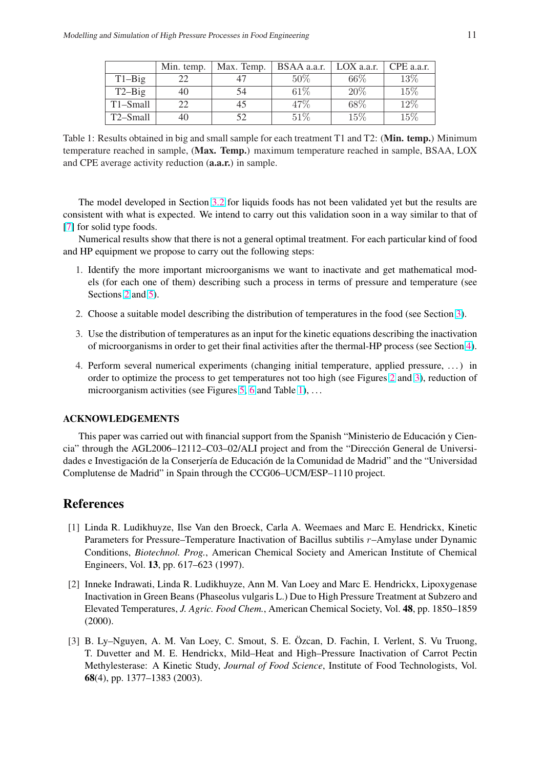<span id="page-10-0"></span>

|                       | Min. temp. | Max. Temp. | $BSAA$ a.a.r. $\parallel$ | LOX a.a.r. | CPE a.a.r. |
|-----------------------|------------|------------|---------------------------|------------|------------|
| $T1-Big$              | 22         |            | $50\%$                    | $66\%$     | 13\%       |
| $T2-Big$              | 40         | 54         | 61\%                      | $20\%$     | 15\%       |
| T1-Small              | 22         | 45         | 47\%                      | 68\%       | 12%        |
| T <sub>2</sub> -Small | 40         |            | $51\%$                    | 15%        | 15%        |

Table 1: Results obtained in big and small sample for each treatment T1 and T2: (Min. temp.) Minimum temperature reached in sample, (Max. Temp.) maximum temperature reached in sample, BSAA, LOX and CPE average activity reduction (a.a.r.) in sample.

The model developed in Section [3.2](#page-6-0) for liquids foods has not been validated yet but the results are consistent with what is expected. We intend to carry out this validation soon in a way similar to that of [\[7\]](#page-11-0) for solid type foods.

Numerical results show that there is not a general optimal treatment. For each particular kind of food and HP equipment we propose to carry out the following steps:

- 1. Identify the more important microorganisms we want to inactivate and get mathematical models (for each one of them) describing such a process in terms of pressure and temperature (see Sections [2](#page-1-0) and [5\)](#page-8-0).
- 2. Choose a suitable model describing the distribution of temperatures in the food (see Section [3\)](#page-2-0).
- 3. Use the distribution of temperatures as an input for the kinetic equations describing the inactivation of microorganisms in order to get their final activities after the thermal-HP process (see Section [4\)](#page-8-0).
- 4. Perform several numerical experiments (changing initial temperature, applied pressure, . . . ) in order to optimize the process to get temperatures not too high (see Figures [2](#page-12-0) and [3\)](#page-13-0), reduction of microorganism activities (see Figures  $5, 6$  $5, 6$  $5, 6$  and Table 1), ...

### ACKNOWLEDGEMENTS

This paper was carried out with financial support from the Spanish "Ministerio de Educación y Ciencia" through the AGL2006–12112–C03–02/ALI project and from the "Dirección General de Universidades e Investigación de la Conserjería de Educación de la Comunidad de Madrid" and the "Universidad Complutense de Madrid" in Spain through the CCG06–UCM/ESP–1110 project.

# References

- [1] Linda R. Ludikhuyze, Ilse Van den Broeck, Carla A. Weemaes and Marc E. Hendrickx, Kinetic Parameters for Pressure–Temperature Inactivation of Bacillus subtilis r–Amylase under Dynamic Conditions, *Biotechnol. Prog.*, American Chemical Society and American Institute of Chemical Engineers, Vol. 13, pp. 617–623 (1997).
- [2] Inneke Indrawati, Linda R. Ludikhuyze, Ann M. Van Loey and Marc E. Hendrickx, Lipoxygenase Inactivation in Green Beans (Phaseolus vulgaris L.) Due to High Pressure Treatment at Subzero and Elevated Temperatures, *J. Agric. Food Chem.*, American Chemical Society, Vol. 48, pp. 1850–1859 (2000).
- [3] B. Ly–Nguyen, A. M. Van Loey, C. Smout, S. E. Özcan, D. Fachin, I. Verlent, S. Vu Truong, T. Duvetter and M. E. Hendrickx, Mild–Heat and High–Pressure Inactivation of Carrot Pectin Methylesterase: A Kinetic Study, *Journal of Food Science*, Institute of Food Technologists, Vol. 68(4), pp. 1377–1383 (2003).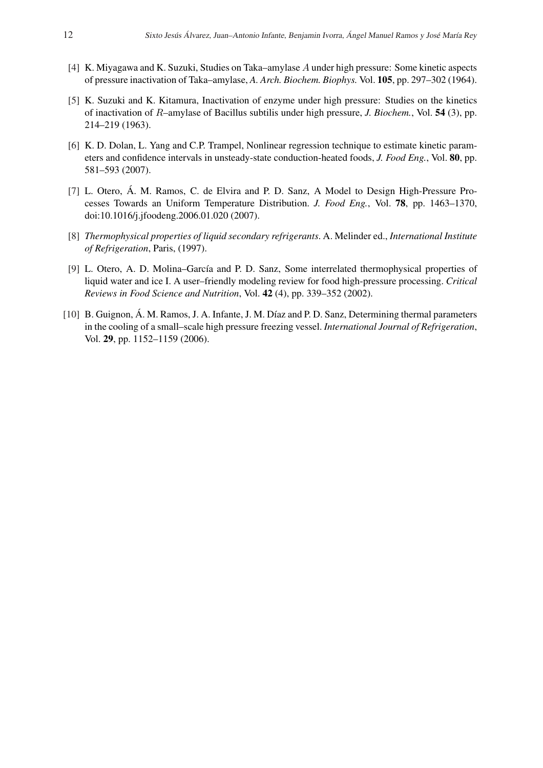- <span id="page-11-0"></span>[4] K. Miyagawa and K. Suzuki, Studies on Taka–amylase A under high pressure: Some kinetic aspects of pressure inactivation of Taka–amylase, *A. Arch. Biochem. Biophys.* Vol. 105, pp. 297–302 (1964).
- [5] K. Suzuki and K. Kitamura, Inactivation of enzyme under high pressure: Studies on the kinetics of inactivation of R–amylase of Bacillus subtilis under high pressure, *J. Biochem.*, Vol. 54 (3), pp. 214–219 (1963).
- [6] K. D. Dolan, L. Yang and C.P. Trampel, Nonlinear regression technique to estimate kinetic parameters and confidence intervals in unsteady-state conduction-heated foods, *J. Food Eng.*, Vol. 80, pp. 581–593 (2007).
- [7] L. Otero, Á. M. Ramos, C. de Elvira and P. D. Sanz, A Model to Design High-Pressure Processes Towards an Uniform Temperature Distribution. *J. Food Eng.*, Vol. 78, pp. 1463–1370, doi:10.1016/j.jfoodeng.2006.01.020 (2007).
- [8] *Thermophysical properties of liquid secondary refrigerants*. A. Melinder ed., *International Institute of Refrigeration*, Paris, (1997).
- [9] L. Otero, A. D. Molina–García and P. D. Sanz, Some interrelated thermophysical properties of liquid water and ice I. A user–friendly modeling review for food high-pressure processing. *Critical Reviews in Food Science and Nutrition*, Vol. 42 (4), pp. 339–352 (2002).
- [10] B. Guignon, Á. M. Ramos, J. A. Infante, J. M. Díaz and P. D. Sanz, Determining thermal parameters in the cooling of a small–scale high pressure freezing vessel. *International Journal of Refrigeration*, Vol. 29, pp. 1152–1159 (2006).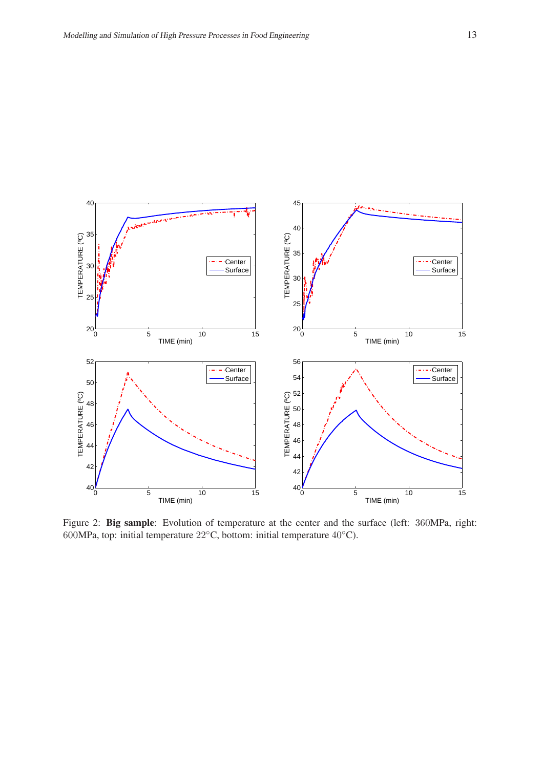<span id="page-12-0"></span>

Figure 2: Big sample: Evolution of temperature at the center and the surface (left: 360MPa, right: MPa, top: initial temperature 22◦C, bottom: initial temperature 40◦C).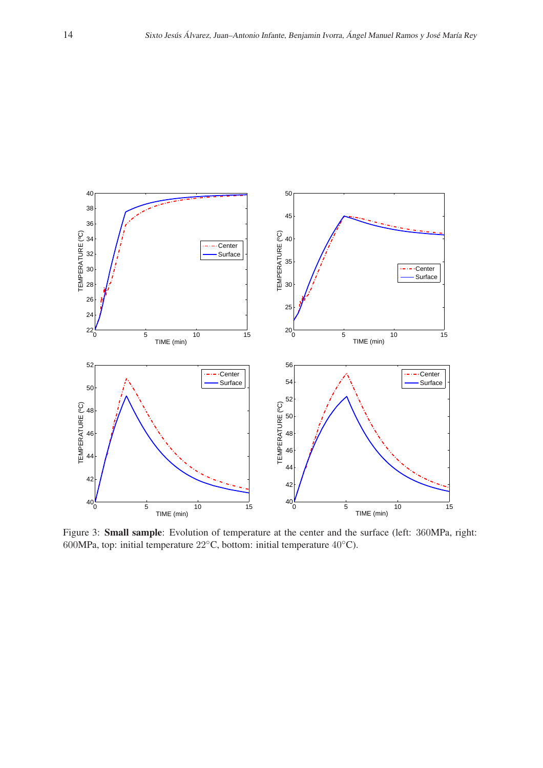<span id="page-13-0"></span>

Figure 3: Small sample: Evolution of temperature at the center and the surface (left: 360MPa, right: MPa, top: initial temperature 22◦C, bottom: initial temperature 40◦C).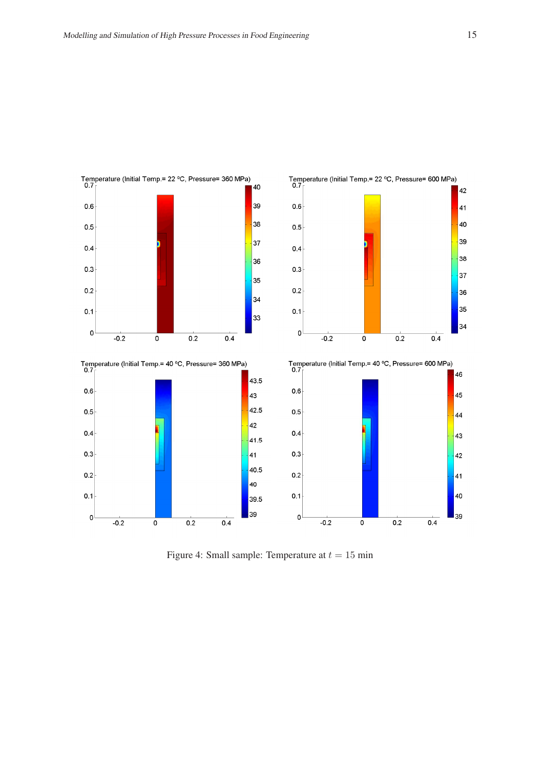<span id="page-14-0"></span>

Figure 4: Small sample: Temperature at  $t = 15$  min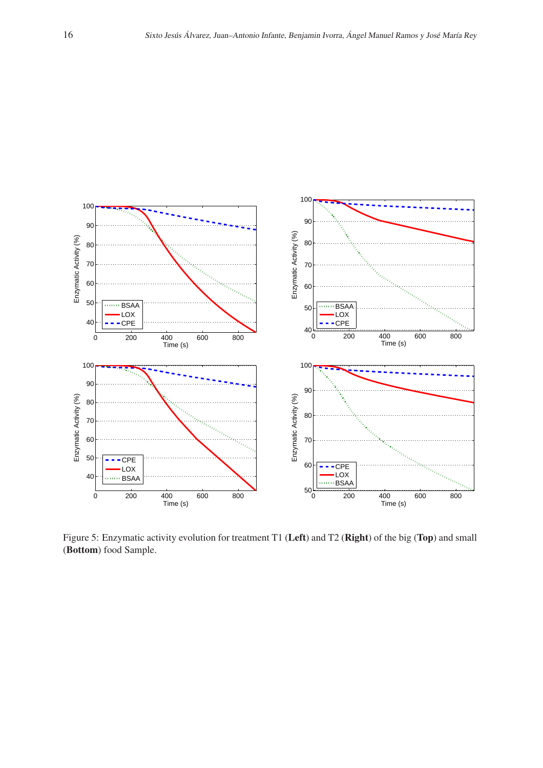<span id="page-15-0"></span>

Figure 5: Enzymatic activity evolution for treatment T1 (Left) and T2 (Right) of the big (Top) and small (Bottom) food Sample.